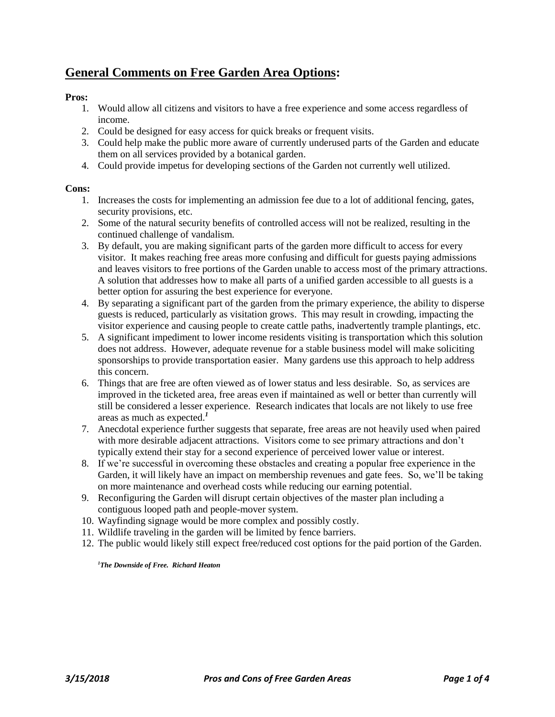# **General Comments on Free Garden Area Options:**

## **Pros:**

- 1. Would allow all citizens and visitors to have a free experience and some access regardless of income.
- 2. Could be designed for easy access for quick breaks or frequent visits.
- 3. Could help make the public more aware of currently underused parts of the Garden and educate them on all services provided by a botanical garden.
- 4. Could provide impetus for developing sections of the Garden not currently well utilized.

### **Cons:**

- 1. Increases the costs for implementing an admission fee due to a lot of additional fencing, gates, security provisions, etc.
- 2. Some of the natural security benefits of controlled access will not be realized, resulting in the continued challenge of vandalism.
- 3. By default, you are making significant parts of the garden more difficult to access for every visitor. It makes reaching free areas more confusing and difficult for guests paying admissions and leaves visitors to free portions of the Garden unable to access most of the primary attractions. A solution that addresses how to make all parts of a unified garden accessible to all guests is a better option for assuring the best experience for everyone.
- 4. By separating a significant part of the garden from the primary experience, the ability to disperse guests is reduced, particularly as visitation grows. This may result in crowding, impacting the visitor experience and causing people to create cattle paths, inadvertently trample plantings, etc.
- 5. A significant impediment to lower income residents visiting is transportation which this solution does not address. However, adequate revenue for a stable business model will make soliciting sponsorships to provide transportation easier. Many gardens use this approach to help address this concern.
- 6. Things that are free are often viewed as of lower status and less desirable. So, as services are improved in the ticketed area, free areas even if maintained as well or better than currently will still be considered a lesser experience. Research indicates that locals are not likely to use free areas as much as expected.*<sup>1</sup>*
- 7. Anecdotal experience further suggests that separate, free areas are not heavily used when paired with more desirable adjacent attractions. Visitors come to see primary attractions and don't typically extend their stay for a second experience of perceived lower value or interest.
- 8. If we're successful in overcoming these obstacles and creating a popular free experience in the Garden, it will likely have an impact on membership revenues and gate fees. So, we'll be taking on more maintenance and overhead costs while reducing our earning potential.
- 9. Reconfiguring the Garden will disrupt certain objectives of the master plan including a contiguous looped path and people-mover system.
- 10. Wayfinding signage would be more complex and possibly costly.
- 11. Wildlife traveling in the garden will be limited by fence barriers.
- 12. The public would likely still expect free/reduced cost options for the paid portion of the Garden.

*1The Downside of Free. Richard Heaton*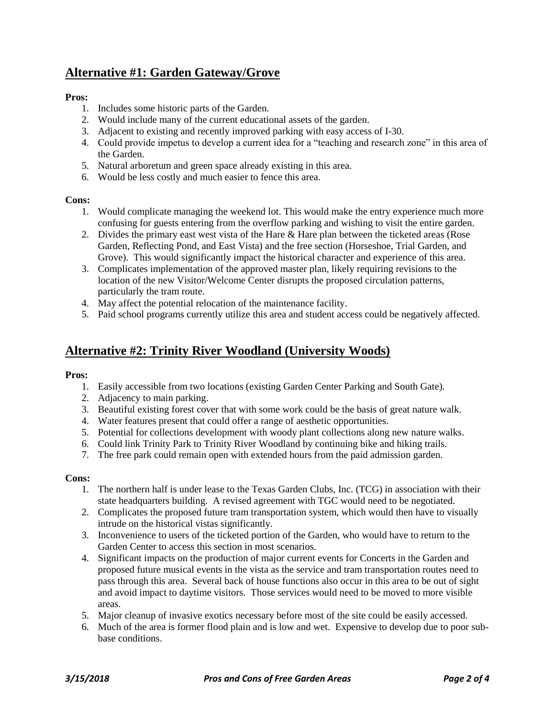# **Alternative #1: Garden Gateway/Grove**

## **Pros:**

- 1. Includes some historic parts of the Garden.
- 2. Would include many of the current educational assets of the garden.
- 3. Adjacent to existing and recently improved parking with easy access of I-30.
- 4. Could provide impetus to develop a current idea for a "teaching and research zone" in this area of the Garden.
- 5. Natural arboretum and green space already existing in this area.
- 6. Would be less costly and much easier to fence this area.

#### **Cons:**

- 1. Would complicate managing the weekend lot. This would make the entry experience much more confusing for guests entering from the overflow parking and wishing to visit the entire garden.
- 2. Divides the primary east west vista of the Hare & Hare plan between the ticketed areas (Rose Garden, Reflecting Pond, and East Vista) and the free section (Horseshoe, Trial Garden, and Grove). This would significantly impact the historical character and experience of this area.
- 3. Complicates implementation of the approved master plan, likely requiring revisions to the location of the new Visitor/Welcome Center disrupts the proposed circulation patterns, particularly the tram route.
- 4. May affect the potential relocation of the maintenance facility.
- 5. Paid school programs currently utilize this area and student access could be negatively affected.

## **Alternative #2: Trinity River Woodland (University Woods)**

#### **Pros:**

- 1. Easily accessible from two locations (existing Garden Center Parking and South Gate).
- 2. Adjacency to main parking.
- 3. Beautiful existing forest cover that with some work could be the basis of great nature walk.
- 4. Water features present that could offer a range of aesthetic opportunities.
- 5. Potential for collections development with woody plant collections along new nature walks.
- 6. Could link Trinity Park to Trinity River Woodland by continuing bike and hiking trails.
- 7. The free park could remain open with extended hours from the paid admission garden.

#### **Cons:**

- 1. The northern half is under lease to the Texas Garden Clubs, Inc. (TCG) in association with their state headquarters building. A revised agreement with TGC would need to be negotiated.
- 2. Complicates the proposed future tram transportation system, which would then have to visually intrude on the historical vistas significantly.
- 3. Inconvenience to users of the ticketed portion of the Garden, who would have to return to the Garden Center to access this section in most scenarios.
- 4. Significant impacts on the production of major current events for Concerts in the Garden and proposed future musical events in the vista as the service and tram transportation routes need to pass through this area. Several back of house functions also occur in this area to be out of sight and avoid impact to daytime visitors. Those services would need to be moved to more visible areas.
- 5. Major cleanup of invasive exotics necessary before most of the site could be easily accessed.
- 6. Much of the area is former flood plain and is low and wet. Expensive to develop due to poor subbase conditions.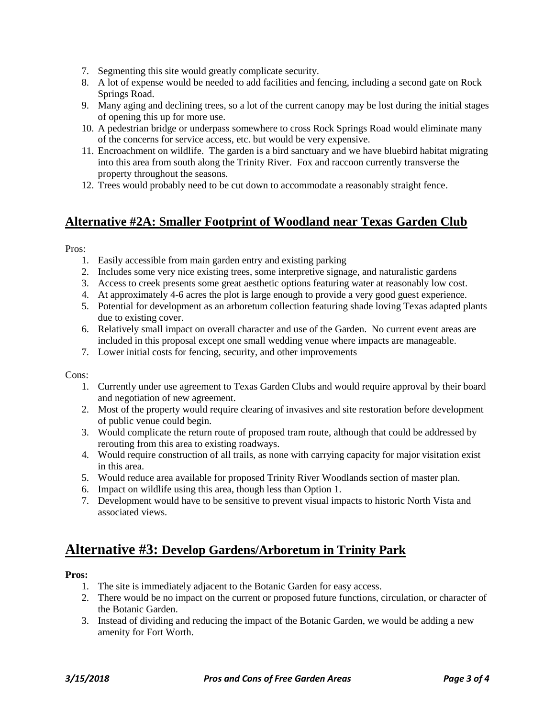- 7. Segmenting this site would greatly complicate security.
- 8. A lot of expense would be needed to add facilities and fencing, including a second gate on Rock Springs Road.
- 9. Many aging and declining trees, so a lot of the current canopy may be lost during the initial stages of opening this up for more use.
- 10. A pedestrian bridge or underpass somewhere to cross Rock Springs Road would eliminate many of the concerns for service access, etc. but would be very expensive.
- 11. Encroachment on wildlife. The garden is a bird sanctuary and we have bluebird habitat migrating into this area from south along the Trinity River. Fox and raccoon currently transverse the property throughout the seasons.
- 12. Trees would probably need to be cut down to accommodate a reasonably straight fence.

## **Alternative #2A: Smaller Footprint of Woodland near Texas Garden Club**

Pros:

- 1. Easily accessible from main garden entry and existing parking
- 2. Includes some very nice existing trees, some interpretive signage, and naturalistic gardens
- 3. Access to creek presents some great aesthetic options featuring water at reasonably low cost.
- 4. At approximately 4-6 acres the plot is large enough to provide a very good guest experience.
- 5. Potential for development as an arboretum collection featuring shade loving Texas adapted plants due to existing cover.
- 6. Relatively small impact on overall character and use of the Garden. No current event areas are included in this proposal except one small wedding venue where impacts are manageable.
- 7. Lower initial costs for fencing, security, and other improvements

Cons:

- 1. Currently under use agreement to Texas Garden Clubs and would require approval by their board and negotiation of new agreement.
- 2. Most of the property would require clearing of invasives and site restoration before development of public venue could begin.
- 3. Would complicate the return route of proposed tram route, although that could be addressed by rerouting from this area to existing roadways.
- 4. Would require construction of all trails, as none with carrying capacity for major visitation exist in this area.
- 5. Would reduce area available for proposed Trinity River Woodlands section of master plan.
- 6. Impact on wildlife using this area, though less than Option 1.
- 7. Development would have to be sensitive to prevent visual impacts to historic North Vista and associated views.

# **Alternative #3: Develop Gardens/Arboretum in Trinity Park**

#### **Pros:**

- 1. The site is immediately adjacent to the Botanic Garden for easy access.
- 2. There would be no impact on the current or proposed future functions, circulation, or character of the Botanic Garden.
- 3. Instead of dividing and reducing the impact of the Botanic Garden, we would be adding a new amenity for Fort Worth.